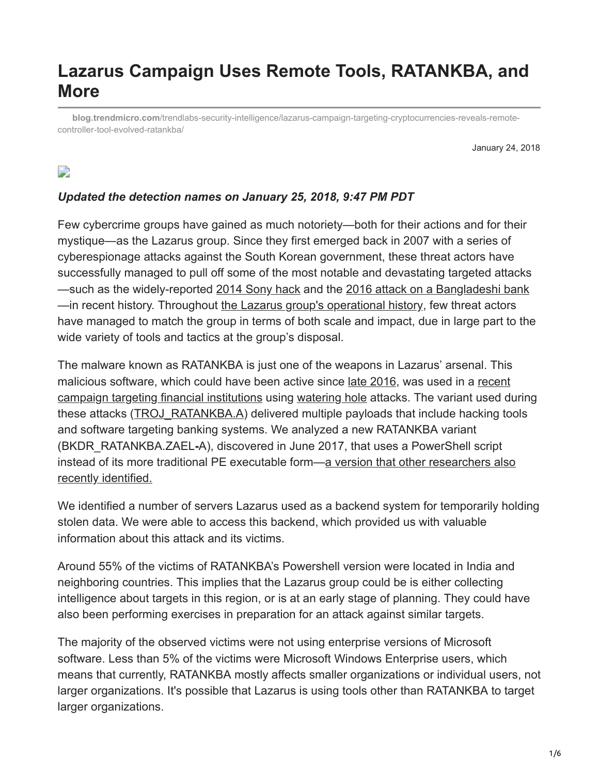# **Lazarus Campaign Uses Remote Tools, RATANKBA, and More**

**blog.trendmicro.com**[/trendlabs-security-intelligence/lazarus-campaign-targeting-cryptocurrencies-reveals-remote](https://blog.trendmicro.com/trendlabs-security-intelligence/lazarus-campaign-targeting-cryptocurrencies-reveals-remote-controller-tool-evolved-ratankba/)controller-tool-evolved-ratankba/

January 24, 2018

# $\Box$

#### *Updated the detection names on January 25, 2018, 9:47 PM PDT*

Few cybercrime groups have gained as much notoriety—both for their actions and for their mystique—as the Lazarus group. Since they first emerged back in 2007 with a series of cyberespionage attacks against the South Korean government, these threat actors have successfully managed to pull off some of the most notable and devastating targeted attacks —such as the widely-reported [2014 Sony hack](https://www.trendmicro.com/vinfo/us/security/news/cyber-attacks/the-hack-of-sony-pictures-what-you-need-to-know) and the [2016 attack on a Bangladeshi bank](http://blog.trendmicro.com/trendlabs-security-intelligence/what-we-can-learn-from-the-bangladesh-central-bank-cyber-heist/) —in recent history. Throughout [the Lazarus group's operational history,](https://www.trendmicro.com/vinfo/us/security/news/cybercrime-and-digital-threats/a-look-into-the-lazarus-groups-operations) few threat actors have managed to match the group in terms of both scale and impact, due in large part to the wide variety of tools and tactics at the group's disposal.

The malware known as RATANKBA is just one of the weapons in Lazarus' arsenal. This [malicious software, which could have been active since l](http://blog.trendmicro.com/trendlabs-security-intelligence/ratankba-watering-holes-against-enterprises/)[ate 201](https://badcyber.com/several-polish-banks-hacked-information-stolen-by-unknown-attackers/)[6, was used in a recent](http://blog.trendmicro.com/trendlabs-security-intelligence/ratankba-watering-holes-against-enterprises/) campaign targeting financial institutions using [watering hole](https://www.trendmicro.com/vinfo/us/threat-encyclopedia/web-attack/137/watering-hole-101) attacks. The variant used during these attacks ([TROJ\\_RATANKBA.A](https://www.trendmicro.com/vinfo/us/threat-encyclopedia/malware/TROJ_RATANKBA.A)) delivered multiple payloads that include hacking tools and software targeting banking systems. We analyzed a new RATANKBA variant (BKDR\_RATANKBA.ZAEL**-**A), discovered in June 2017, that uses a PowerShell script [instead of its more traditional PE executable form—a version that other researchers also](http://securityaffairs.co/wordpress/67090/apt/lazarus-apt-interest-cryptocurrencies.html) recently identified.

We identified a number of servers Lazarus used as a backend system for temporarily holding stolen data. We were able to access this backend, which provided us with valuable information about this attack and its victims.

Around 55% of the victims of RATANKBA's Powershell version were located in India and neighboring countries. This implies that the Lazarus group could be is either collecting intelligence about targets in this region, or is at an early stage of planning. They could have also been performing exercises in preparation for an attack against similar targets.

The majority of the observed victims were not using enterprise versions of Microsoft software. Less than 5% of the victims were Microsoft Windows Enterprise users, which means that currently, RATANKBA mostly affects smaller organizations or individual users, not larger organizations. It's possible that Lazarus is using tools other than RATANKBA to target larger organizations.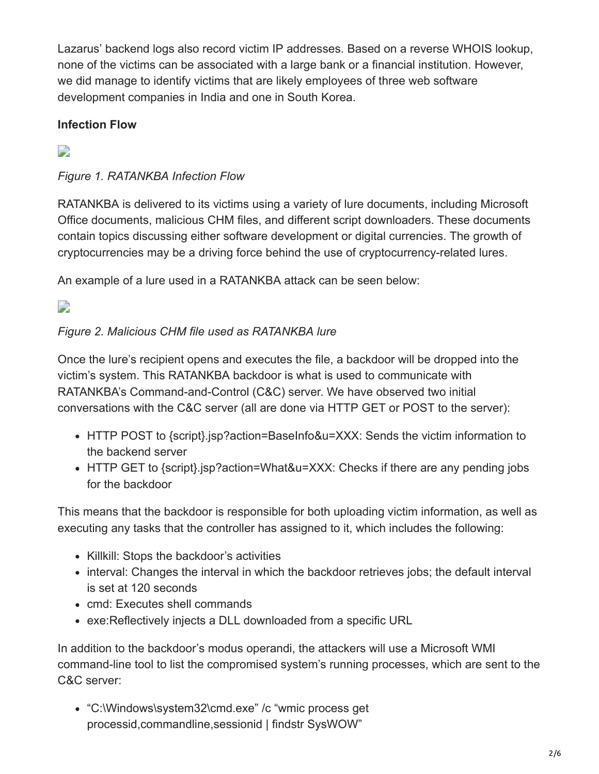Lazarus' backend logs also record victim IP addresses. Based on a reverse WHOIS lookup, none of the victims can be associated with a large bank or a financial institution. However, we did manage to identify victims that are likely employees of three web software development companies in India and one in South Korea.

# **Infection Flow**

 $\Box$ 

### *Figure 1. RATANKBA Infection Flow*

RATANKBA is delivered to its victims using a variety of lure documents, including Microsoft Office documents, malicious CHM files, and different script downloaders. These documents contain topics discussing either software development or digital currencies. The growth of cryptocurrencies may be a driving force behind the use of cryptocurrency-related lures.

An example of a lure used in a RATANKBA attack can be seen below:

# D

### *Figure 2. Malicious CHM file used as RATANKBA lure*

Once the lure's recipient opens and executes the file, a backdoor will be dropped into the victim's system. This RATANKBA backdoor is what is used to communicate with RATANKBA's Command-and-Control (C&C) server. We have observed two initial conversations with the C&C server (all are done via HTTP GET or POST to the server):

- HTTP POST to {script}.jsp?action=BaseInfo&u=XXX: Sends the victim information to the backend server
- HTTP GET to {script}.jsp?action=What&u=XXX: Checks if there are any pending jobs for the backdoor

This means that the backdoor is responsible for both uploading victim information, as well as executing any tasks that the controller has assigned to it, which includes the following:

- Killkill: Stops the backdoor's activities
- interval: Changes the interval in which the backdoor retrieves jobs; the default interval is set at 120 seconds
- cmd: Executes shell commands
- exe:Reflectively injects a DLL downloaded from a specific URL

In addition to the backdoor's modus operandi, the attackers will use a Microsoft WMI command-line tool to list the compromised system's running processes, which are sent to the C&C server:

• "C:\Windows\system32\cmd.exe" /c "wmic process get processid,commandline,sessionid | findstr SysWOW"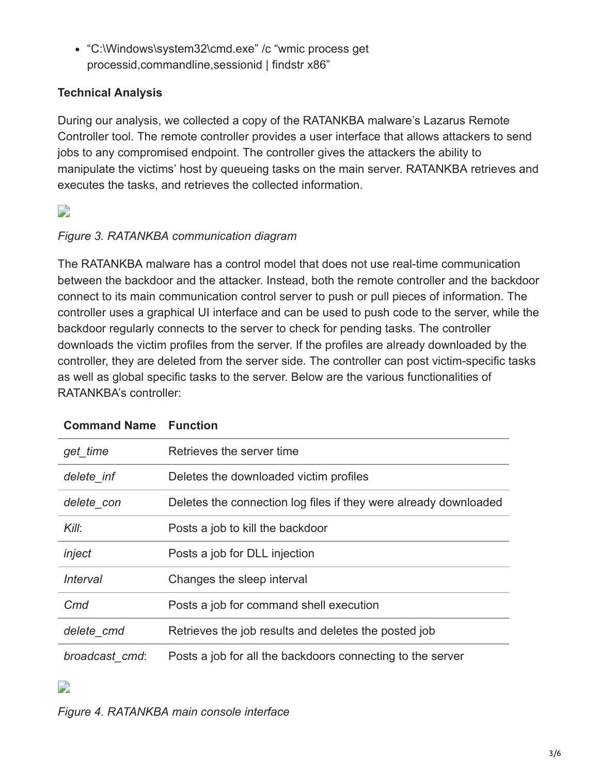"C:\Windows\system32\cmd.exe" /c "wmic process get processid,commandline,sessionid | findstr x86"

### **Technical Analysis**

During our analysis, we collected a copy of the RATANKBA malware's Lazarus Remote Controller tool. The remote controller provides a user interface that allows attackers to send jobs to any compromised endpoint. The controller gives the attackers the ability to manipulate the victims' host by queueing tasks on the main server. RATANKBA retrieves and executes the tasks, and retrieves the collected information.

# $\overline{\phantom{a}}$

### *Figure 3. RATANKBA communication diagram*

The RATANKBA malware has a control model that does not use real-time communication between the backdoor and the attacker. Instead, both the remote controller and the backdoor connect to its main communication control server to push or pull pieces of information. The controller uses a graphical UI interface and can be used to push code to the server, while the backdoor regularly connects to the server to check for pending tasks. The controller downloads the victim profiles from the server. If the profiles are already downloaded by the controller, they are deleted from the server side. The controller can post victim-specific tasks as well as global specific tasks to the server. Below are the various functionalities of RATANKBA's controller:

| get time       | Retrieves the server time                                        |
|----------------|------------------------------------------------------------------|
| delete inf     | Deletes the downloaded victim profiles                           |
| delete_con     | Deletes the connection log files if they were already downloaded |
| Kill:          | Posts a job to kill the backdoor                                 |
| inject         | Posts a job for DLL injection                                    |
| Interval       | Changes the sleep interval                                       |
| Cmd            | Posts a job for command shell execution                          |
| delete_cmd     | Retrieves the job results and deletes the posted job             |
| broadcast_cmd: | Posts a job for all the backdoors connecting to the server       |

### **Command Name Function**

### $\overline{\phantom{a}}$

*Figure 4. RATANKBA main console interface*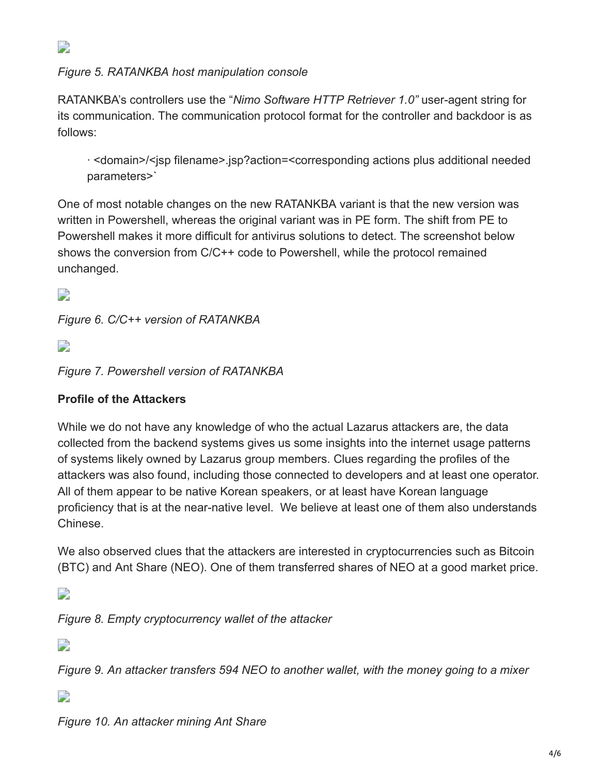

*Figure 5. RATANKBA host manipulation console*

RATANKBA's controllers use the "*Nimo Software HTTP Retriever 1.0"* user-agent string for its communication. The communication protocol format for the controller and backdoor is as follows:

· <domain>/<jsp filename>.jsp?action=<corresponding actions plus additional needed parameters>`

One of most notable changes on the new RATANKBA variant is that the new version was written in Powershell, whereas the original variant was in PE form. The shift from PE to Powershell makes it more difficult for antivirus solutions to detect. The screenshot below shows the conversion from C/C++ code to Powershell, while the protocol remained unchanged.

D

*Figure 6. C/C++ version of RATANKBA*

 $\overline{\phantom{a}}$ 

*Figure 7. Powershell version of RATANKBA*

### **Profile of the Attackers**

While we do not have any knowledge of who the actual Lazarus attackers are, the data collected from the backend systems gives us some insights into the internet usage patterns of systems likely owned by Lazarus group members. Clues regarding the profiles of the attackers was also found, including those connected to developers and at least one operator. All of them appear to be native Korean speakers, or at least have Korean language proficiency that is at the near-native level. We believe at least one of them also understands Chinese.

We also observed clues that the attackers are interested in cryptocurrencies such as Bitcoin (BTC) and Ant Share (NEO). One of them transferred shares of NEO at a good market price.

 $\overline{\phantom{a}}$ 

*Figure 8. Empty cryptocurrency wallet of the attacker*

 $\overline{\phantom{a}}$ 

*Figure 9. An attacker transfers 594 NEO to another wallet, with the money going to a mixer*

D

*Figure 10. An attacker mining Ant Share*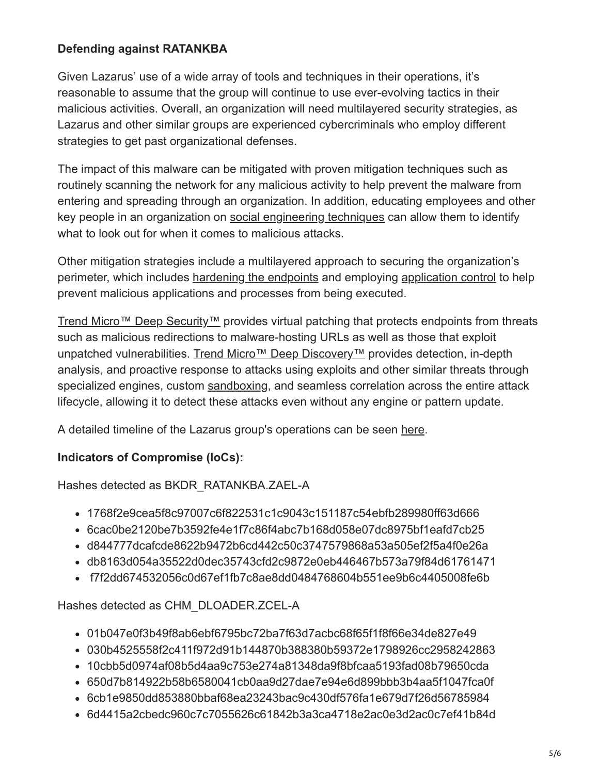### **Defending against RATANKBA**

Given Lazarus' use of a wide array of tools and techniques in their operations, it's reasonable to assume that the group will continue to use ever-evolving tactics in their malicious activities. Overall, an organization will need multilayered security strategies, as Lazarus and other similar groups are experienced cybercriminals who employ different strategies to get past organizational defenses.

The impact of this malware can be mitigated with proven mitigation techniques such as routinely scanning the network for any malicious activity to help prevent the malware from entering and spreading through an organization. In addition, educating employees and other key people in an organization on [social engineering techniques](https://www.trendmicro.com/vinfo/us/security/news/cybercrime-and-digital-threats/keep-an-eye-out-for-these-social-engineering-scams) can allow them to identify what to look out for when it comes to malicious attacks.

Other mitigation strategies include a multilayered approach to securing the organization's perimeter, which includes [hardening the endpoints](http://blog.trendmicro.com/ensuring-comprehensive-endpoint-security/) and employing [application control](https://www.trendmicro.com/en_us/business/products/user-protection/sps/endpoint/endpoint-application-control.html) to help prevent malicious applications and processes from being executed.

[Trend Micro™ Deep Security™](https://blog.trendmicro.com/en_us/business/products/hybrid-cloud/deep-security.html) provides virtual patching that protects endpoints from threats such as malicious redirections to malware-hosting URLs as well as those that exploit unpatched vulnerabilities. [Trend Micro™ Deep Discovery™](https://blog.trendmicro.com/en_us/business/products/network/advanced-threat-protection/deep-discovery-threat-intelligence-network-analytics.html) provides detection, in-depth analysis, and proactive response to attacks using exploits and other similar threats through specialized engines, custom [sandboxing,](http://blog.trendmicro.com/trendlabs-security-intelligence/deploying-a-smart-sandbox-for-unknown-threats-and-zero-day-attacks/) and seamless correlation across the entire attack lifecycle, allowing it to detect these attacks even without any engine or pattern update.

A detailed timeline of the Lazarus group's operations can be seen [here](https://www.trendmicro.com/vinfo/us/security/news/cybercrime-and-digital-threats/a-look-into-the-lazarus-groups-operations).

### **Indicators of Compromise (IoCs):**

Hashes detected as BKDR\_RATANKBA.ZAEL-A

- 1768f2e9cea5f8c97007c6f822531c1c9043c151187c54ebfb289980ff63d666
- 6cac0be2120be7b3592fe4e1f7c86f4abc7b168d058e07dc8975bf1eafd7cb25
- d844777dcafcde8622b9472b6cd442c50c3747579868a53a505ef2f5a4f0e26a
- db8163d054a35522d0dec35743cfd2c9872e0eb446467b573a79f84d61761471
- f7f2dd674532056c0d67ef1fb7c8ae8dd0484768604b551ee9b6c4405008fe6b

Hashes detected as CHM\_DLOADER.ZCEL-A

- 01b047e0f3b49f8ab6ebf6795bc72ba7f63d7acbc68f65f1f8f66e34de827e49
- 030b4525558f2c411f972d91b144870b388380b59372e1798926cc2958242863
- 10cbb5d0974af08b5d4aa9c753e274a81348da9f8bfcaa5193fad08b79650cda
- 650d7b814922b58b6580041cb0aa9d27dae7e94e6d899bbb3b4aa5f1047fca0f
- 6cb1e9850dd853880bbaf68ea23243bac9c430df576fa1e679d7f26d56785984
- 6d4415a2cbedc960c7c7055626c61842b3a3ca4718e2ac0e3d2ac0c7ef41b84d